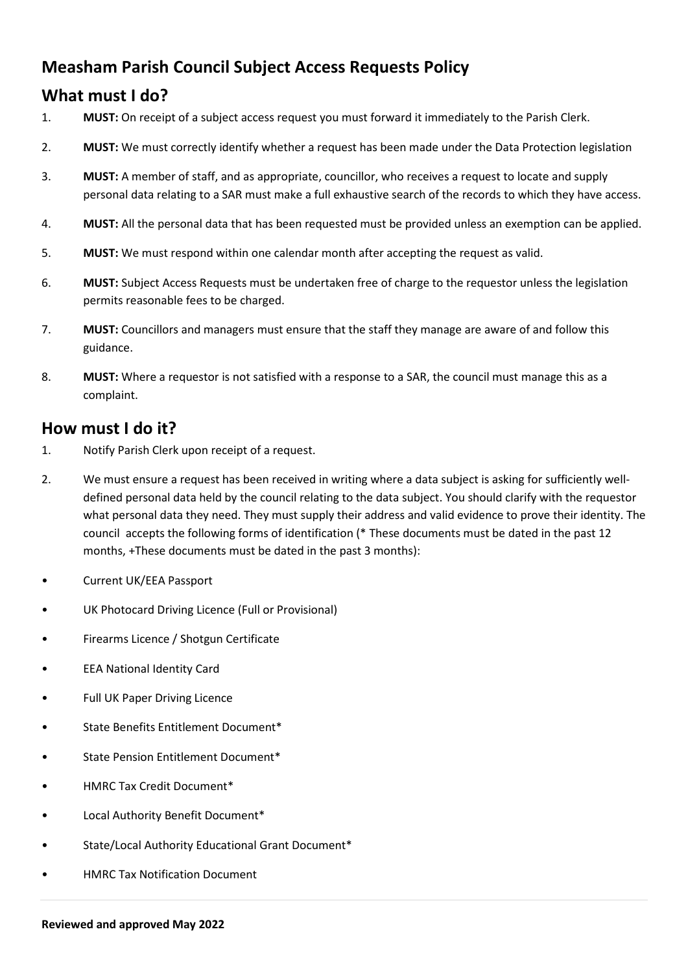## **Measham Parish Council Subject Access Requests Policy**

## **What must I do?**

- 1. **MUST:** On receipt of a subject access request you must forward it immediately to the Parish Clerk.
- 2. **MUST:** We must correctly identify whether a request has been made under the Data Protection legislation
- 3. **MUST:** A member of staff, and as appropriate, councillor, who receives a request to locate and supply personal data relating to a SAR must make a full exhaustive search of the records to which they have access.
- 4. **MUST:** All the personal data that has been requested must be provided unless an exemption can be applied.
- 5. **MUST:** We must respond within one calendar month after accepting the request as valid.
- 6. **MUST:** Subject Access Requests must be undertaken free of charge to the requestor unless the legislation permits reasonable fees to be charged.
- 7. **MUST:** Councillors and managers must ensure that the staff they manage are aware of and follow this guidance.
- 8. **MUST:** Where a requestor is not satisfied with a response to a SAR, the council must manage this as a complaint.

## **How must I do it?**

- 1. Notify Parish Clerk upon receipt of a request.
- 2. We must ensure a request has been received in writing where a data subject is asking for sufficiently welldefined personal data held by the council relating to the data subject. You should clarify with the requestor what personal data they need. They must supply their address and valid evidence to prove their identity. The council accepts the following forms of identification (\* These documents must be dated in the past 12 months, +These documents must be dated in the past 3 months):
- Current UK/EEA Passport
- UK Photocard Driving Licence (Full or Provisional)
- Firearms Licence / Shotgun Certificate
- EEA National Identity Card
- Full UK Paper Driving Licence
- State Benefits Entitlement Document\*
- State Pension Entitlement Document\*
- HMRC Tax Credit Document\*
- Local Authority Benefit Document\*
- State/Local Authority Educational Grant Document\*
- HMRC Tax Notification Document